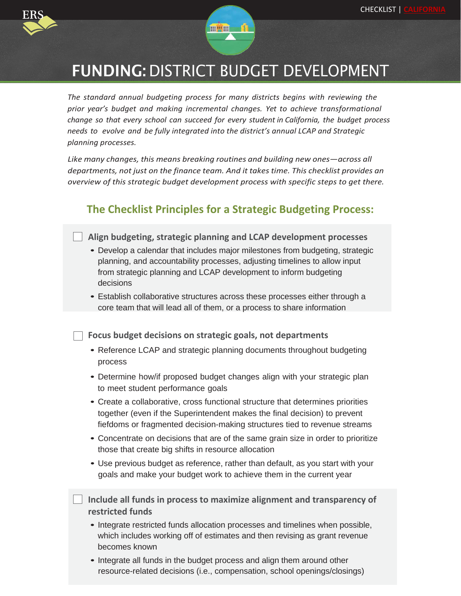



## FUNDING: DISTRICT BUDGET DEVELOPMENT

*The standard annual budgeting process for many districts begins with reviewing the prior year's budget and making incremental changes. Yet to achieve transformational change so that every school can succeed for every student in California, the budget process needs to evolve and be fully integrated into the district's annual LCAP and Strategic planning processes.*

*Like many changes, this means breaking routines and building new ones—across all departments, not just on the finance team. And it takes time. This checklist provides an overview of this strategic budget development process with specific steps to get there.*

## **The Checklist Principles for a Strategic Budgeting Process:**

**Align budgeting, strategic planning and LCAP development processes** 

- Develop a calendar that includes major milestones from budgeting, strategic planning, and accountability processes, adjusting timelines to allow input from strategic planning and LCAP development to inform budgeting decisions
- Establish collaborative structures across these processes either through a core team that will lead all of them, or a process to share information

**Focus budget decisions on strategic goals, not departments**

- Reference LCAP and strategic planning documents throughout budgeting process
- Determine how/if proposed budget changes align with your strategic plan to meet student performance goals
- Create a collaborative, cross functional structure that determines priorities together (even if the Superintendent makes the final decision) to prevent fiefdoms or fragmented decision-making structures tied to revenue streams
- Concentrate on decisions that are of the same grain size in order to prioritize those that create big shifts in resource allocation
- Use previous budget as reference, rather than default, as you start with your goals and make your budget work to achieve them in the current year
- **Include all funds in process to maximize alignment and transparency of restricted funds**
	- Integrate restricted funds allocation processes and timelines when possible, which includes working off of estimates and then revising as grant revenue becomes known
	- Integrate all funds in the budget process and align them around other resource-related decisions (i.e., compensation, school openings/closings)